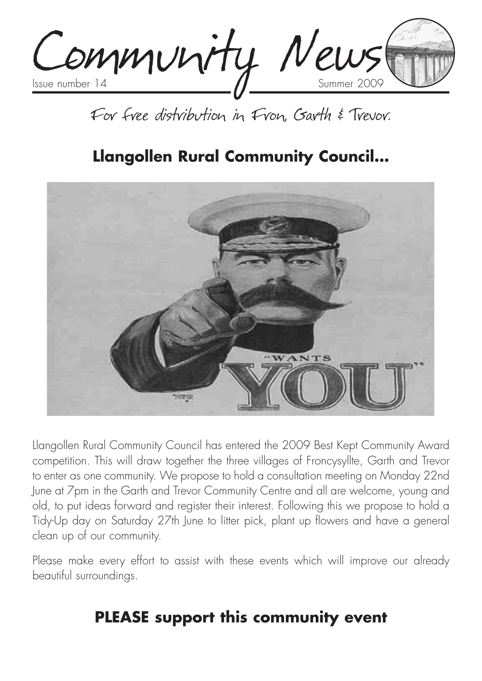Community News

# For free distribution in Fron, Garth & Trevor.

# **Llangollen Rural Community Council…**



Llangollen Rural Community Council has entered the 2009 Best Kept Community Award competition. This will draw together the three villages of Froncysyllte, Garth and Trevor to enter as one community. We propose to hold a consultation meeting on Monday 22nd June at 7pm in the Garth and Trevor Community Centre and all are welcome, young and old, to put ideas forward and register their interest. Following this we propose to hold a Tidy-Up day on Saturday 27th June to litter pick, plant up flowers and have a general clean up of our community.

Please make every effort to assist with these events which will improve our already beautiful surroundings.

# **PLEASE support this community event**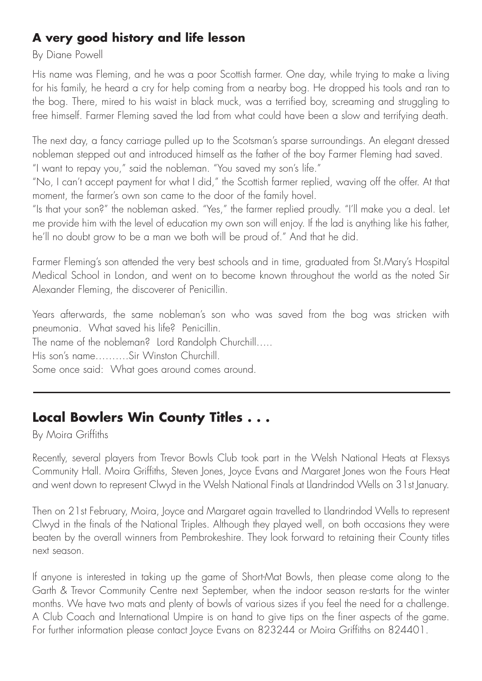### **A very good history and life lesson**

#### By Diane Powell

His name was Fleming, and he was a poor Scottish farmer. One day, while trying to make a living for his family, he heard a cry for help coming from a nearby bog. He dropped his tools and ran to the bog. There, mired to his waist in black muck, was a terrified boy, screaming and struggling to free himself. Farmer Fleming saved the lad from what could have been a slow and terrifying death.

The next day, a fancy carriage pulled up to the Scotsman's sparse surroundings. An elegant dressed nobleman stepped out and introduced himself as the father of the boy Farmer Fleming had saved. "I want to repay you," said the nobleman. "You saved my son's life."

"No, I can't accept payment for what I did," the Scottish farmer replied, waving off the offer. At that moment, the farmer's own son came to the door of the family hovel.

"Is that your son?" the nobleman asked. "Yes," the farmer replied proudly. "I'll make you a deal. Let me provide him with the level of education my own son will enjoy. If the lad is anything like his father, he'll no doubt grow to be a man we both will be proud of." And that he did.

Farmer Fleming's son attended the very best schools and in time, graduated from St.Mary's Hospital Medical School in London, and went on to become known throughout the world as the noted Sir Alexander Fleming, the discoverer of Penicillin.

Years afterwards, the same nobleman's son who was saved from the bog was stricken with pneumonia. What saved his life? Penicillin. The name of the nobleman? Lord Randolph Churchill….. His son's name……….Sir Winston Churchill. Some once said: What goes around comes around.

### **Local Bowlers Win County Titles . . .**

By Moira Griffiths

Recently, several players from Trevor Bowls Club took part in the Welsh National Heats at Flexsys Community Hall. Moira Griffiths, Steven Jones, Joyce Evans and Margaret Jones won the Fours Heat and went down to represent Clwyd in the Welsh National Finals at Llandrindod Wells on 31st January.

Then on 21st February, Moira, Joyce and Margaret again travelled to Llandrindod Wells to represent Clwyd in the finals of the National Triples. Although they played well, on both occasions they were beaten by the overall winners from Pembrokeshire. They look forward to retaining their County titles next season.

If anyone is interested in taking up the game of Short-Mat Bowls, then please come along to the Garth & Trevor Community Centre next September, when the indoor season re-starts for the winter months. We have two mats and plenty of bowls of various sizes if you feel the need for a challenge. A Club Coach and International Umpire is on hand to give tips on the finer aspects of the game. For further information please contact Joyce Evans on 823244 or Moira Griffiths on 824401.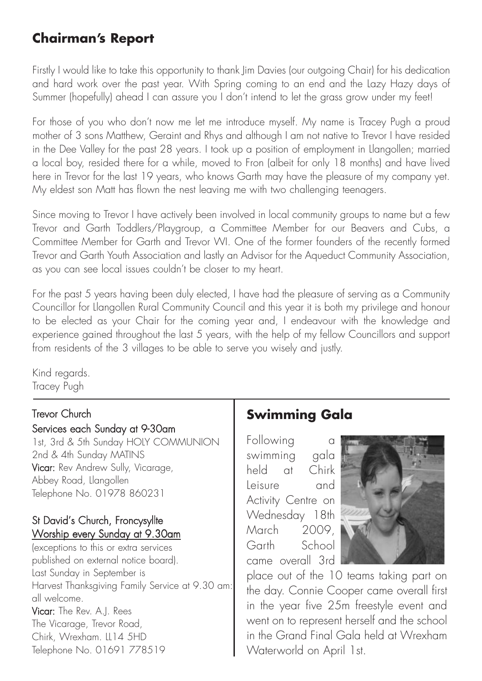### **Chairman's Report**

Firstly I would like to take this opportunity to thank Jim Davies (our outgoing Chair) for his dedication and hard work over the past year. With Spring coming to an end and the Lazy Hazy days of Summer (hopefully) ahead I can assure you I don't intend to let the grass grow under my feet!

For those of you who don't now me let me introduce myself. My name is Tracey Pugh a proud mother of 3 sons Matthew, Geraint and Rhys and although I am not native to Trevor I have resided in the Dee Valley for the past 28 years. I took up a position of employment in Llangollen; married a local boy, resided there for a while, moved to Fron (albeit for only 18 months) and have lived here in Trevor for the last 19 years, who knows Garth may have the pleasure of my company yet. My eldest son Matt has flown the nest leaving me with two challenging teenagers.

Since moving to Trevor I have actively been involved in local community groups to name but a few Trevor and Garth Toddlers/Playgroup, a Committee Member for our Beavers and Cubs, a Committee Member for Garth and Trevor WI. One of the former founders of the recently formed Trevor and Garth Youth Association and lastly an Advisor for the Aqueduct Community Association, as you can see local issues couldn't be closer to my heart.

For the past 5 years having been duly elected, I have had the pleasure of serving as a Community Councillor for Llangollen Rural Community Council and this year it is both my privilege and honour to be elected as your Chair for the coming year and, I endeavour with the knowledge and experience gained throughout the last 5 years, with the help of my fellow Councillors and support from residents of the 3 villages to be able to serve you wisely and justly.

Kind regards. Tracey Pugh

#### Trevor Church Services each Sunday at 9-30am

1st, 3rd & 5th Sunday HOLY COMMUNION 2nd & 4th Sunday MATINS Vicar: Rev Andrew Sully, Vicarage, Abbey Road, Llangollen Telephone No. 01978 860231

### St David's Church, Froncysyllte Worship every Sunday at 9.30am

(exceptions to this or extra services published on external notice board). Last Sunday in September is Harvest Thanksgiving Family Service at 9.30 am: all welcome. Vicar: The Rev. A.J. Rees The Vicarage, Trevor Road, Chirk, Wrexham. LL14 5HD Telephone No. 01691 778519

# **Swimming Gala**

Following c swimming gala held at Chirk Leisure and Activity Centre on Wednesday 18th March 2009, Garth School came overall 3rd



place out of the 10 teams taking part on the day. Connie Cooper came overall first in the year five 25m freestyle event and went on to represent herself and the school in the Grand Final Gala held at Wrexham Waterworld on April 1st.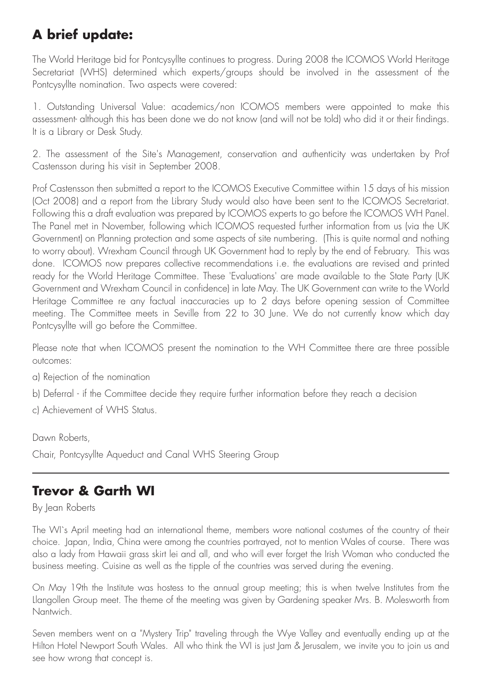# **A brief update:**

The World Heritage bid for Pontcysyllte continues to progress. During 2008 the ICOMOS World Heritage Secretariat (WHS) determined which experts/groups should be involved in the assessment of the Pontcysyllte nomination. Two aspects were covered:

1. Outstanding Universal Value: academics/non ICOMOS members were appointed to make this assessment- although this has been done we do not know (and will not be told) who did it or their findings. It is a Library or Desk Study.

2. The assessment of the Site's Management, conservation and authenticity was undertaken by Prof Castensson during his visit in September 2008.

Prof Castensson then submitted a report to the ICOMOS Executive Committee within 15 days of his mission (Oct 2008) and a report from the Library Study would also have been sent to the ICOMOS Secretariat. Following this a draft evaluation was prepared by ICOMOS experts to go before the ICOMOS WH Panel. The Panel met in November, following which ICOMOS requested further information from us (via the UK Government) on Planning protection and some aspects of site numbering. (This is quite normal and nothing to worry about). Wrexham Council through UK Government had to reply by the end of February. This was done. ICOMOS now prepares collective recommendations i.e. the evaluations are revised and printed ready for the World Heritage Committee. These 'Evaluations' are made available to the State Party (UK Government and Wrexham Council in confidence) in late May. The UK Government can write to the World Heritage Committee re any factual inaccuracies up to 2 days before opening session of Committee meeting. The Committee meets in Seville from 22 to 30 June. We do not currently know which day Pontcysyllte will go before the Committee.

Please note that when ICOMOS present the nomination to the WH Committee there are three possible outcomes:

- a) Rejection of the nomination
- b) Deferral if the Committee decide they require further information before they reach a decision
- c) Achievement of WHS Status.

Dawn Roberts,

Chair, Pontcysyllte Aqueduct and Canal WHS Steering Group

### **Trevor & Garth WI**

By Jean Roberts

The WI`s April meeting had an international theme, members wore national costumes of the country of their choice. Japan, India, China were among the countries portrayed, not to mention Wales of course. There was also a lady from Hawaii grass skirt lei and all, and who will ever forget the Irish Woman who conducted the business meeting. Cuisine as well as the tipple of the countries was served during the evening.

On May 19th the Institute was hostess to the annual group meeting; this is when twelve Institutes from the Llangollen Group meet. The theme of the meeting was given by Gardening speaker Mrs. B. Molesworth from Nantwich.

Seven members went on a "Mystery Trip" traveling through the Wye Valley and eventually ending up at the Hilton Hotel Newport South Wales. All who think the WI is just Jam & Jerusalem, we invite you to join us and see how wrong that concept is.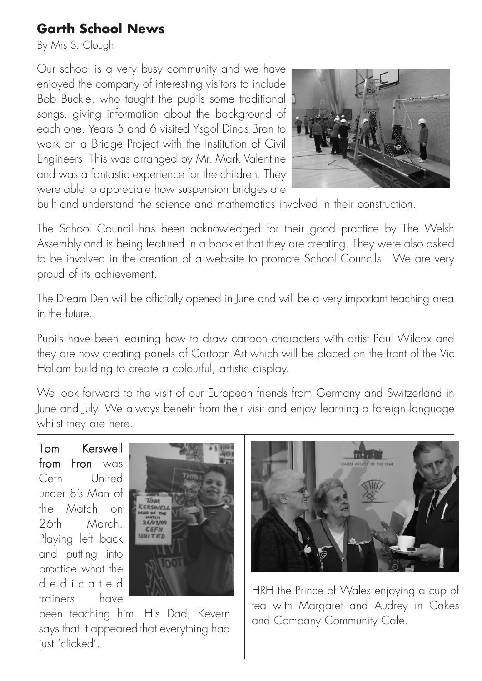### **Garth School News**

By Mrs S. Clough

Our school is a very busy community and we have enjoyed the company of interesting visitors to include Bob Buckle, who taught the pupils some traditional songs, giving information about the background of each one. Years 5 and 6 visited Ysgol Dinas Bran to work on a Bridge Project with the Institution of Civil Engineers. This was arranged by Mr. Mark Valentine and was a fantastic experience for the children. They were able to appreciate how suspension bridges are



built and understand the science and mathematics involved in their construction.

The School Council has been acknowledged for their good practice by The Welsh Assembly and is being featured in a booklet that they are creating. They were also asked to be involved in the creation of a web-site to promote School Councils. We are very proud of its achievement.

The Dream Den will be officially opened in June and will be a very important teaching area in the future.

Pupils have been learning how to draw cartoon characters with artist Paul Wilcox and they are now creating panels of Cartoon Art which will be placed on the front of the Vic Hallam building to create a colourful, artistic display.

We look forward to the visit of our European friends from Germany and Switzerland in June and July. We always benefit from their visit and enjoy learning a foreign language whilst they are here.

Tom Kerswell from Fron was Cefn United under 8's Man of the Match on 26th March. Playing left back and putting into practice what the dedicated trainers have



been teaching him. His Dad, Kevern says that it appeared that everything had just 'clicked'.



HRH the Prince of Wales enjoying a cup of tea with Margaret and Audrey in Cakes and Company Community Cafe.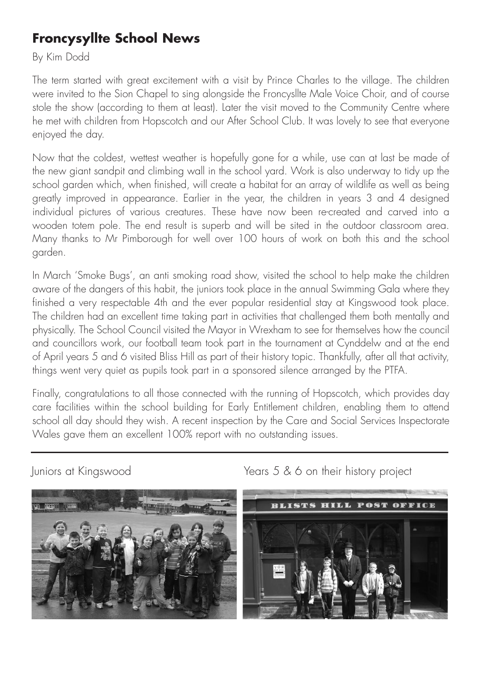## **Froncysyllte School News**

By Kim Dodd

The term started with great excitement with a visit by Prince Charles to the village. The children were invited to the Sion Chapel to sing alongside the Froncysllte Male Voice Choir, and of course stole the show (according to them at least). Later the visit moved to the Community Centre where he met with children from Hopscotch and our After School Club. It was lovely to see that everyone enjoyed the day.

Now that the coldest, wettest weather is hopefully gone for a while, use can at last be made of the new giant sandpit and climbing wall in the school yard. Work is also underway to tidy up the school garden which, when finished, will create a habitat for an array of wildlife as well as being greatly improved in appearance. Earlier in the year, the children in years 3 and 4 designed individual pictures of various creatures. These have now been re-created and carved into a wooden totem pole. The end result is superb and will be sited in the outdoor classroom area. Many thanks to Mr Pimborough for well over 100 hours of work on both this and the school garden.

In March 'Smoke Bugs', an anti smoking road show, visited the school to help make the children aware of the dangers of this habit, the juniors took place in the annual Swimming Gala where they finished a very respectable 4th and the ever popular residential stay at Kingswood took place. The children had an excellent time taking part in activities that challenged them both mentally and physically. The School Council visited the Mayor in Wrexham to see for themselves how the council and councillors work, our football team took part in the tournament at Cynddelw and at the end of April years 5 and 6 visited Bliss Hill as part of their history topic. Thankfully, after all that activity, things went very quiet as pupils took part in a sponsored silence arranged by the PTFA.

Finally, congratulations to all those connected with the running of Hopscotch, which provides day care facilities within the school building for Early Entitlement children, enabling them to attend school all day should they wish. A recent inspection by the Care and Social Services Inspectorate Wales gave them an excellent 100% report with no outstanding issues.



Juniors at Kingswood Years 5 & 6 on their history project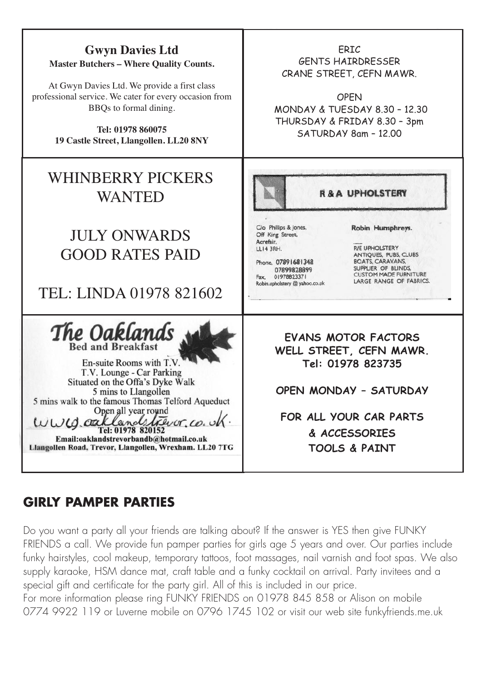

#### GIRLY PAMPER PARTIES Insurances; Holiday, Life etc., Life etc., Life etc., Life etc., Life etc., Life etc., Life etc., Life etc., Li

Do you want a party all your friends are talking about? If the answer is YES then give FUNKY FRIENDS a call. We provide fun pamper parties for girls age 5 years and over. Our parties include funky hairstyles, cool makeup, temporary tattoos, foot massages, nail varnish and foot spas. We also supply karaoke, HSM dance mat, craft table and a funky cocktail on arrival. Party invitees and a special gift and certificate for the party girl. All of this is included in our price.

For more information please ring FUNKY FRIENDS on 01978 845 858 or Alison on mobile 0774 9922 119 or Luverne mobile on 0796 1745 102 or visit our web site funkyfriends.me.uk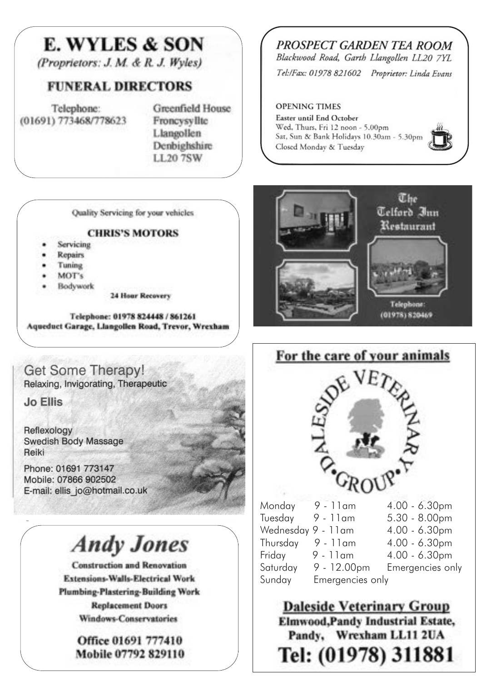# **E. WYLES & SON**

(Proprietors: J. M. & R. J. Wyles)

### **FUNERAL DIRECTORS**

Telephone: (01691) 773468/778623 **Greenfield House** Froncysvllte Llangollen Denbighshire LL20 7SW

Quality Servicing for your vehicles

#### **CHRIS'S MOTORS**

- Servicing
- Repairs
- Tuning
- MOT's
- Bodywork

**24 Hour Recovery** 

Telephone: 01978 824448 / 861261 Aqueduct Garage, Llangollen Road, Trevor, Wrexham

#### **Get Some Therapy!** Relaxing, Invigorating, Therapeutic

**Jo Ellis** 

Reflexology **Swedish Body Massage** Reiki

Phone: 01691 773147 Mobile: 07866 902502 E-mail: ellis jo@hotmail.co.uk

# **Andy Jones**

**Construction and Renovation Extensions-Walls-Electrical Work Plumbing-Plastering-Building Work Replacement Doors** Windows-Conservatories

> Office 01691 777410 Mobile 07792 829110

### PROSPECT GARDEN TEA ROOM

Blackwood Road, Garth Llangollen LL20 7YL

Tel:/Fax: 01978 821602 Proprietor: Linda Evans

106 Cae Gwilynlane, Cefn Mawr, Wrexham LL14 3PD

# **COPENING TIMES**<br> **Easter until End October**

Wed, Thurs, Fri 12 noon - 5.00pm Sat, Sun & Bank Holidays 10.30am - 5.30pm<br>Closed Monday & Tuesday





For the care of your animals



# **Daleside Veterinary Group Elmwood,Pandy Industrial Estate,** Pandy, Wrexham LL11 2UA Tel: (01978) 311881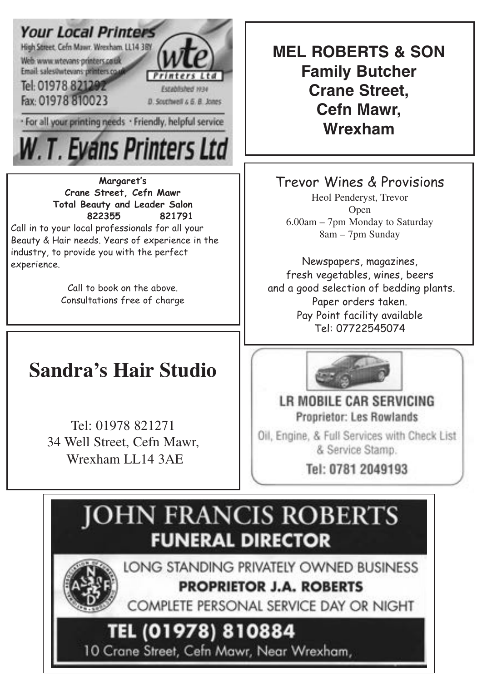

· For all your printing needs · Friendly, helpful service

W.T. Evans Printers Ltd

**Margaret's Crane Street, Cefn Mawr Total Beauty and Leader Salon 822355 821791**

Call in to your local professionals for all your Beauty & Hair needs. Years of experience in the industry, to provide you with the perfect experience.

> Call to book on the above. Consultations free of charge

# **CLIFF'S CHIPPY Sandra's Hair Studio**

Tuesday Closed all day Tel: 01978 821271 34 Well Street, Cefn Mawr,  $\mathcal{F}_1$ .  $\mathcal{F}_2$  is the street, comparison, Wrexham LL14 3AE

**Family Butcher Crane Street,** does not carry its endorsement or sponsorship **Cefn Mawr, command**, www.com **MEL ROBERTS & SON**

**Trevor Wines & Provisions** Trevor Wines & Provisions

Heol Penderyst, Trevor. Open  $6.00am - 7pm$  Monday to Saturday 8am – 7pm Sunday 8am – 7pm Sunday Heol Penderyst, Trevor

Newspapers, magazines, Newspapers, magazines, fresh vegetables, wines, beers and a good selection of bedding plants. Pay Point facility available Pay Point facility available Tel: 07722545074 Tel: 07722545074 Paper orders taken.



LR MOBILE CAR SERVICING **Proprietor: Les Rowlands** 

Oil, Engine, & Full Services with Check List & Service Stamp.

Tel: 0781 2049193

# **JOHN FRANCIS ROBERTS FUNERAL DIRECTOR**

LONG STANDING PRIVATELY OWNED BUSINESS **PROPRIETOR J.A. ROBERTS** 

COMPLETE PERSONAL SERVICE DAY OR NIGHT

# TEL (01978) 810884

10 Crane Street, Cefn Mawr, Near Wrexham,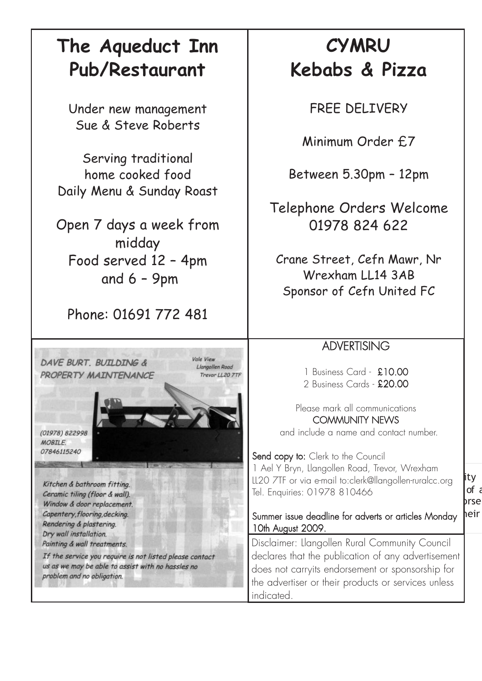# **The Aqueduct Inn Pub/Restaurant**

Under new management Sue & Steve Roberts

Serving traditional home cooked food Daily Menu & Sunday Roast

Open 7 days a week from midday Food served 12 – 4pm and 6 – 9pm

Phone: 01691 772 481

Vale View

Llangollen Road

Trevor LL20 7TF

DAVE BURT, BUTLDING & PROPERTY MATNTENANCE

(01978) 822998 **MORTIF** 07846115240

Kitchen & bathroom fitting. Ceramic tiling (floor & wall). Window & door replacement. Capentery, flooring, decking. Rendering & plastering. Dry wall installation. Painting & wall treatments.

If the service you require is not listed please contact us as we may be able to assist with no hassles no problem and no obligation.

# **CYMRU Kebabs & Pizza**

FREE DELIVERY

Minimum Order £7

Between 5.30pm – 12pm

Telephone Orders Welcome 01978 824 622

Crane Street, Cefn Mawr, Nr Wrexham LL14 3AB Sponsor of Cefn United FC

### **ADVERTISING**

1 Business Card - £10.00 2 Business Cards - £20.00

Please mark all communications COMMUNITY NEWS and include a name and contact number.

LL20 7TF or via e-mail to:clerk@llangollen-ruralcc.org lity Tel. Enquiries: 01978 810466 advertisement does not carry its endorsement does not carry its endorsement of the state  $\mu$ Send copy to: Clerk to the Council 1 Ael Y Bryn, Llangollen Road, Trevor, Wrexham

#### Summer issue deadline for adverts or articles Monday heir 10th August 2009.

Disclaimer: Llangollen Rural Community Council declares that the publication of any advertisement does not carryits endorsement or sponsorship for the advertiser or their products or services unless indicated.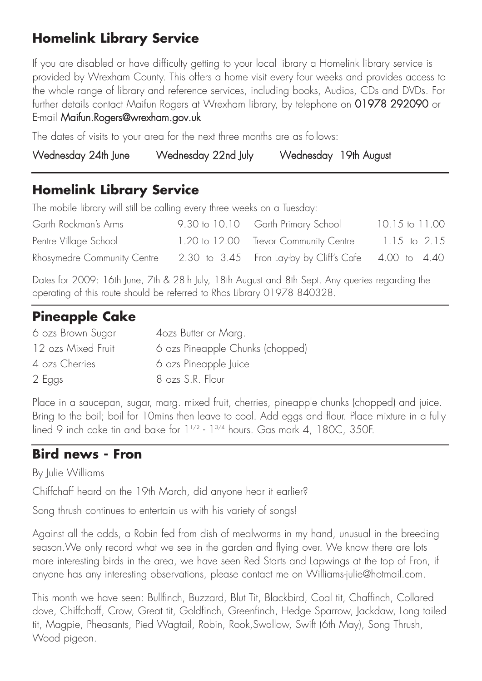## **Homelink Library Service**

If you are disabled or have difficulty getting to your local library a Homelink library service is provided by Wrexham County. This offers a home visit every four weeks and provides access to the whole range of library and reference services, including books, Audios, CDs and DVDs. For further details contact Maifun Rogers at Wrexham library, by telephone on 01978 292090 or E-mail Maifun.Rogers@wrexham.gov.uk

The dates of visits to your area for the next three months are as follows:

| Wednesday 24th June<br>Wednesday 22nd July<br>Wednesday 19th August |
|---------------------------------------------------------------------|
|---------------------------------------------------------------------|

### **Homelink Library Service**

The mobile library will still be calling every three weeks on a Tuesday:

| Garth Rockman's Arms                                                              | 9.30 to 10.10 Garth Primary School    | 10.15 to 11.00 |
|-----------------------------------------------------------------------------------|---------------------------------------|----------------|
| Pentre Village School                                                             | 1.20 to 12.00 Trevor Community Centre | 1.15 to 2.15   |
| Rhosymedre Community Centre 2.30 to 3.45 Fron Lay-by by Cliff's Cafe 4.00 to 4.40 |                                       |                |

Dates for 2009: 16th June, 7th & 28th July, 18th August and 8th Sept. Any queries regarding the operating of this route should be referred to Rhos Library 01978 840328.

## **Pineapple Cake**

| 6 ozs Brown Sugar  | 4ozs Butter or Marg.             |
|--------------------|----------------------------------|
| 12 ozs Mixed Fruit | 6 ozs Pineapple Chunks (chopped) |
| 4 ozs Cherries     | 6 ozs Pineapple Juice            |
| 2 Eggs             | 8 ozs S.R. Flour                 |
|                    |                                  |

Place in a saucepan, sugar, marg. mixed fruit, cherries, pineapple chunks (chopped) and juice. Bring to the boil; boil for 10mins then leave to cool. Add eggs and flour. Place mixture in a fully lined 9 inch cake tin and bake for  $1^{1/2}$  -  $1^{3/4}$  hours. Gas mark 4, 180C, 350F.

### **Bird news - Fron**

By Julie Williams

Chiffchaff heard on the 19th March, did anyone hear it earlier?

Song thrush continues to entertain us with his variety of songs!

Against all the odds, a Robin fed from dish of mealworms in my hand, unusual in the breeding season.We only record what we see in the garden and flying over. We know there are lots more interesting birds in the area, we have seen Red Starts and Lapwings at the top of Fron, if anyone has any interesting observations, please contact me on Williams-julie@hotmail.com.

This month we have seen: Bullfinch, Buzzard, Blut Tit, Blackbird, Coal tit, Chaffinch, Collared dove, Chiffchaff, Crow, Great tit, Goldfinch, Greenfinch, Hedge Sparrow, Jackdaw, Long tailed tit, Magpie, Pheasants, Pied Wagtail, Robin, Rook,Swallow, Swift (6th May), Song Thrush, Wood pigeon.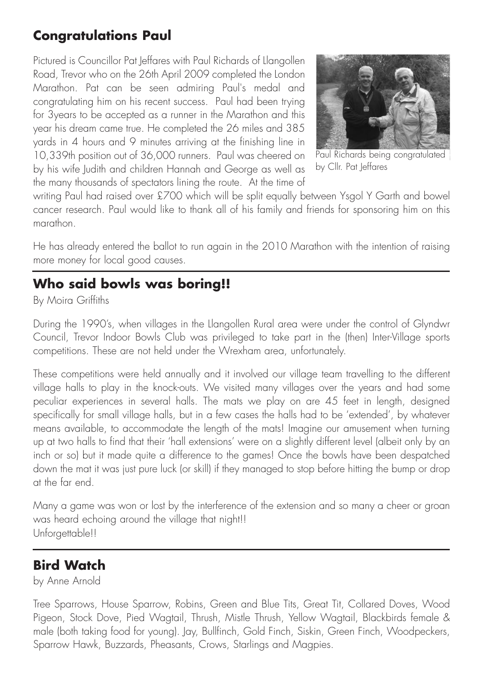### **Congratulations Paul**

Pictured is Councillor Pat Jeffares with Paul Richards of Llangollen Road, Trevor who on the 26th April 2009 completed the London Marathon. Pat can be seen admiring Paul's medal and congratulating him on his recent success. Paul had been trying for 3years to be accepted as a runner in the Marathon and this year his dream came true. He completed the 26 miles and 385 yards in 4 hours and 9 minutes arriving at the finishing line in 10,339th position out of 36,000 runners. Paul was cheered on by his wife Judith and children Hannah and George as well as the many thousands of spectators lining the route. At the time of



Paul Richards being congratulated by Cllr. Pat Jeffares

writing Paul had raised over £700 which will be split equally between Ysgol Y Garth and bowel cancer research. Paul would like to thank all of his family and friends for sponsoring him on this marathon.

He has already entered the ballot to run again in the 2010 Marathon with the intention of raising more money for local good causes.

### **Who said bowls was boring!!**

### By Moira Griffiths

During the 1990's, when villages in the Llangollen Rural area were under the control of Glyndwr Council, Trevor Indoor Bowls Club was privileged to take part in the (then) Inter-Village sports competitions. These are not held under the Wrexham area, unfortunately.

These competitions were held annually and it involved our village team travelling to the different village halls to play in the knock-outs. We visited many villages over the years and had some peculiar experiences in several halls. The mats we play on are 45 feet in length, designed specifically for small village halls, but in a few cases the halls had to be 'extended', by whatever means available, to accommodate the length of the mats! Imagine our amusement when turning up at two halls to find that their 'hall extensions' were on a slightly different level (albeit only by an inch or so) but it made quite a difference to the games! Once the bowls have been despatched down the mat it was just pure luck (or skill) if they managed to stop before hitting the bump or drop at the far end.

Many a game was won or lost by the interference of the extension and so many a cheer or groan was heard echoing around the village that night!! Unforgettable!!

### **Bird Watch**

by Anne Arnold

Tree Sparrows, House Sparrow, Robins, Green and Blue Tits, Great Tit, Collared Doves, Wood Pigeon, Stock Dove, Pied Wagtail, Thrush, Mistle Thrush, Yellow Wagtail, Blackbirds female & male (both taking food for young). Jay, Bullfinch, Gold Finch, Siskin, Green Finch, Woodpeckers, Sparrow Hawk, Buzzards, Pheasants, Crows, Starlings and Magpies.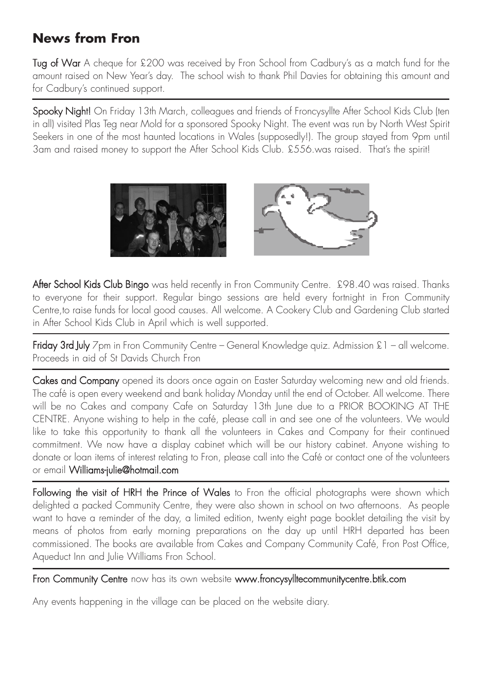# **News from Fron**

Tug of War A cheque for £200 was received by Fron School from Cadbury's as a match fund for the amount raised on New Year's day. The school wish to thank Phil Davies for obtaining this amount and for Cadbury's continued support.

Spooky Night! On Friday 13th March, colleagues and friends of Froncysyllte After School Kids Club (ten in all) visited Plas Teg near Mold for a sponsored Spooky Night. The event was run by North West Spirit Seekers in one of the most haunted locations in Wales (supposedly!). The group stayed from 9pm until 3am and raised money to support the After School Kids Club. £556.was raised. That's the spirit!



After School Kids Club Bingo was held recently in Fron Community Centre. £98.40 was raised. Thanks to everyone for their support. Regular bingo sessions are held every fortnight in Fron Community Centre,to raise funds for local good causes. All welcome. A Cookery Club and Gardening Club started in After School Kids Club in April which is well supported.

Friday 3rd July 7pm in Fron Community Centre – General Knowledge quiz. Admission £1 – all welcome. Proceeds in aid of St Davids Church Fron

Cakes and Company opened its doors once again on Easter Saturday welcoming new and old friends. The café is open every weekend and bank holiday Monday until the end of October. All welcome. There will be no Cakes and company Cafe on Saturday 13th June due to a PRIOR BOOKING AT THE CENTRE. Anyone wishing to help in the café, please call in and see one of the volunteers. We would like to take this opportunity to thank all the volunteers in Cakes and Company for their continued commitment. We now have a display cabinet which will be our history cabinet. Anyone wishing to donate or loan items of interest relating to Fron, please call into the Café or contact one of the volunteers or email Williams-julie@hotmail.com

Following the visit of HRH the Prince of Wales to Fron the official photographs were shown which delighted a packed Community Centre, they were also shown in school on two afternoons. As people want to have a reminder of the day, a limited edition, twenty eight page booklet detailing the visit by means of photos from early morning preparations on the day up until HRH departed has been commissioned. The books are available from Cakes and Company Community Café, Fron Post Office, Aqueduct Inn and Julie Williams Fron School.

Fron Community Centre now has its own website www.froncysylltecommunitycentre.btik.com

Any events happening in the village can be placed on the website diary.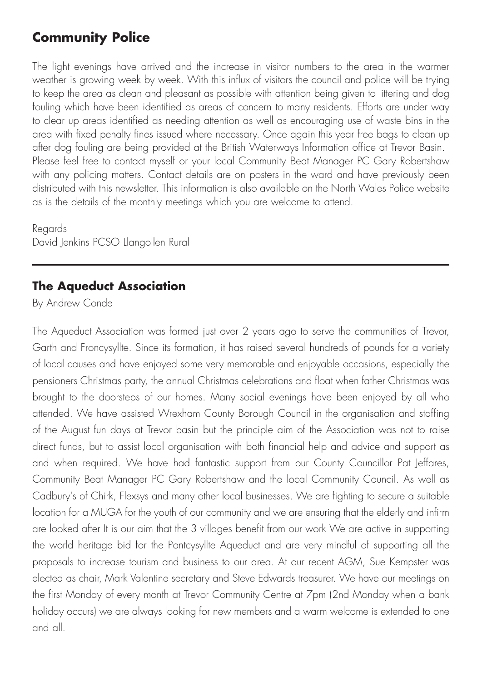### **Community Police**

The light evenings have arrived and the increase in visitor numbers to the area in the warmer weather is growing week by week. With this influx of visitors the council and police will be trying to keep the area as clean and pleasant as possible with attention being given to littering and dog fouling which have been identified as areas of concern to many residents. Efforts are under way to clear up areas identified as needing attention as well as encouraging use of waste bins in the area with fixed penalty fines issued where necessary. Once again this year free bags to clean up after dog fouling are being provided at the British Waterways Information office at Trevor Basin. Please feel free to contact myself or your local Community Beat Manager PC Gary Robertshaw with any policing matters. Contact details are on posters in the ward and have previously been distributed with this newsletter. This information is also available on the North Wales Police website as is the details of the monthly meetings which you are welcome to attend.

Regards David Jenkins PCSO Llangollen Rural

### **The Aqueduct Association**

By Andrew Conde

The Aqueduct Association was formed just over 2 years ago to serve the communities of Trevor, Garth and Froncysyllte. Since its formation, it has raised several hundreds of pounds for a variety of local causes and have enjoyed some very memorable and enjoyable occasions, especially the pensioners Christmas party, the annual Christmas celebrations and float when father Christmas was brought to the doorsteps of our homes. Many social evenings have been enjoyed by all who attended. We have assisted Wrexham County Borough Council in the organisation and staffing of the August fun days at Trevor basin but the principle aim of the Association was not to raise direct funds, but to assist local organisation with both financial help and advice and support as and when required. We have had fantastic support from our County Councillor Pat Jeffares, Community Beat Manager PC Gary Robertshaw and the local Community Council. As well as Cadbury's of Chirk, Flexsys and many other local businesses. We are fighting to secure a suitable location for a MUGA for the youth of our community and we are ensuring that the elderly and infirm are looked after It is our aim that the 3 villages benefit from our work We are active in supporting the world heritage bid for the Pontcysyllte Aqueduct and are very mindful of supporting all the proposals to increase tourism and business to our area. At our recent AGM, Sue Kempster was elected as chair, Mark Valentine secretary and Steve Edwards treasurer. We have our meetings on the first Monday of every month at Trevor Community Centre at 7pm (2nd Monday when a bank holiday occurs) we are always looking for new members and a warm welcome is extended to one and all.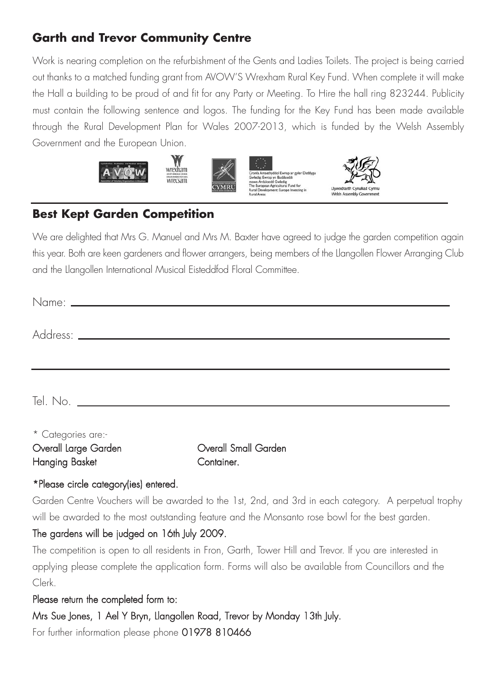### **Garth and Trevor Community Centre**

Work is nearing completion on the refurbishment of the Gents and Ladies Toilets. The project is being carried out thanks to a matched funding grant from AVOW'S Wrexham Rural Key Fund. When complete it will make the Hall a building to be proud of and fit for any Party or Meeting. To Hire the hall ring 823244. Publicity must contain the following sentence and logos. The funding for the Key Fund has been made available through the Rural Development Plan for Wales 2007-2013, which is funded by the Welsh Assembly Government and the European Union.







### **Best Kept Garden Competition**

We are delighted that Mrs G. Manuel and Mrs M. Baxter have agreed to judge the garden competition again this year. Both are keen gardeners and flower arrangers, being members of the Llangollen Flower Arranging Club and the Llangollen International Musical Eisteddfod Floral Committee.

| * Categories are:- |  |  |
|--------------------|--|--|

| Overall Large Garden | Overall Small Garden |
|----------------------|----------------------|
| Hanging Basket       | Container.           |

### \*Please circle category(ies) entered.

Garden Centre Vouchers will be awarded to the 1st, 2nd, and 3rd in each category. A perpetual trophy will be awarded to the most outstanding feature and the Monsanto rose bowl for the best garden.

### The gardens will be judged on 16th July 2009.

The competition is open to all residents in Fron, Garth, Tower Hill and Trevor. If you are interested in applying please complete the application form. Forms will also be available from Councillors and the Clerk.

### Please return the completed form to:

Mrs Sue Jones, 1 Ael Y Bryn, Llangollen Road, Trevor by Monday 13th July.

For further information please phone 01978 810466